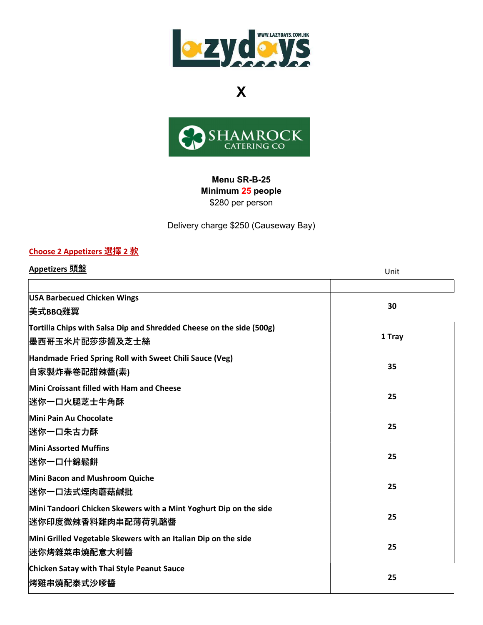



### Menu SR-B-25 Minimum 25 people \$280 per person

Delivery charge \$250 (Causeway Bay)

### Choose 2 Appetizers 選擇 2 款

| Appetizers 頭盤                                                                                  | Unit   |
|------------------------------------------------------------------------------------------------|--------|
|                                                                                                |        |
| <b>USA Barbecued Chicken Wings</b><br>美式BBQ雞翼                                                  | 30     |
| Tortilla Chips with Salsa Dip and Shredded Cheese on the side (500g)<br><b> 墨西哥玉米片配莎莎醬及芝士絲</b> | 1 Tray |
| Handmade Fried Spring Roll with Sweet Chili Sauce (Veg)<br> 自家製炸春卷配甜辣醬(素)                      | 35     |
| Mini Croissant filled with Ham and Cheese<br>迷你一口火腿芝士牛角酥                                       | 25     |
| Mini Pain Au Chocolate<br>迷你一口朱古力酥                                                             | 25     |
| <b>Mini Assorted Muffins</b><br> 迷你一口什錦鬆餅                                                      | 25     |
| Mini Bacon and Mushroom Quiche<br>迷你一口法式煙肉蘑菇鹹批                                                 | 25     |
| Mini Tandoori Chicken Skewers with a Mint Yoghurt Dip on the side<br>迷你印度微辣香料雞肉串配薄荷乳酪醬         | 25     |
| Mini Grilled Vegetable Skewers with an Italian Dip on the side<br>迷你烤雜菜串燒配意大利醬                 | 25     |
| Chicken Satay with Thai Style Peanut Sauce<br>烤雞串燒配泰式沙嗲醬                                       | 25     |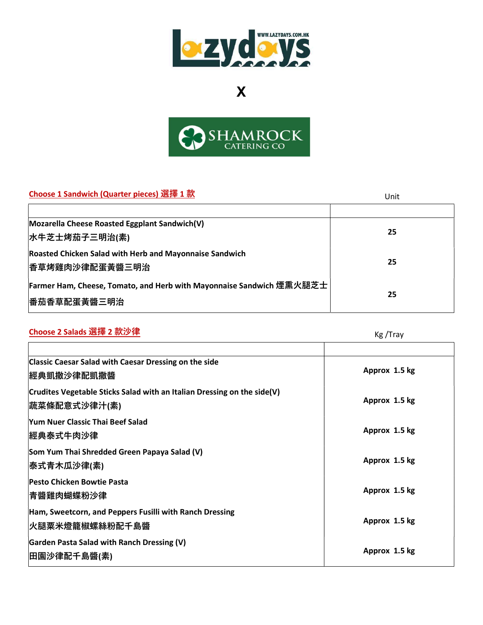



## $\Box$ Choose 1 Sandwich (Quarter pieces) 選擇 1 款

| CHOOSE I Sandwich (Quarter pieces) 231 + I M                         | Unit |
|----------------------------------------------------------------------|------|
|                                                                      |      |
| Mozarella Cheese Roasted Eggplant Sandwich(V)                        |      |
| 水牛芝士烤茄子三明治(素)                                                        | 25   |
| <b>Roasted Chicken Salad with Herb and Mayonnaise Sandwich</b>       |      |
| <b> 香草烤雞肉沙律配蛋黃醬三明治</b>                                               | 25   |
| Farmer Ham, Cheese, Tomato, and Herb with Mayonnaise Sandwich 煙熏火腿芝士 |      |
| <b> 番茄香草配蛋黃醬三明治</b>                                                  | 25   |

# <mark>Choose 2 Salads 選擇 2 款沙律</mark> Kg /Tray

| <b>Classic Caesar Salad with Caesar Dressing on the side</b><br>經典凱撒沙律配凱撒醬              | Approx 1.5 kg |
|-----------------------------------------------------------------------------------------|---------------|
| Crudites Vegetable Sticks Salad with an Italian Dressing on the side(V)<br>蔬菜條配意式沙律汁(素) | Approx 1.5 kg |
| Yum Nuer Classic Thai Beef Salad<br>經典泰式牛肉沙律                                            | Approx 1.5 kg |
| Som Yum Thai Shredded Green Papaya Salad (V)<br>泰式青木瓜沙律(素)                              | Approx 1.5 kg |
| <b>Pesto Chicken Bowtie Pasta</b><br>青醬雞肉蝴蝶粉沙律                                          | Approx 1.5 kg |
| Ham, Sweetcorn, and Peppers Fusilli with Ranch Dressing<br>火腿粟米燈籠椒螺絲粉配千島醬               | Approx 1.5 kg |
| Garden Pasta Salad with Ranch Dressing (V)<br>田園沙律配千島醬(素)                               | Approx 1.5 kg |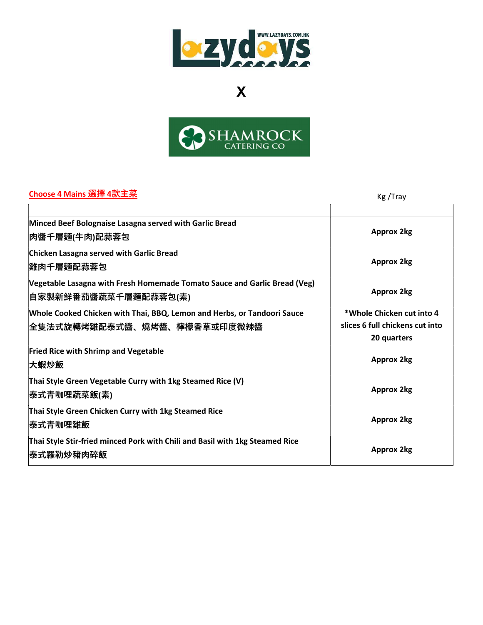



## Choose 4 Mains 選擇 4款主菜 Kg /Trayyang Kg /Trayyang Kg /Trayyang Kg /Trayyang Kg /Tr

| Choose + Manis 运洋 +亦工木                                                                                  | Kg/Iray                                                                     |
|---------------------------------------------------------------------------------------------------------|-----------------------------------------------------------------------------|
| Minced Beef Bolognaise Lasagna served with Garlic Bread<br> 肉醬千層麵(牛肉)配蒜蓉包                               | <b>Approx 2kg</b>                                                           |
| Chicken Lasagna served with Garlic Bread<br><b> 雞肉千層麵配蒜蓉包</b>                                           | <b>Approx 2kg</b>                                                           |
| Vegetable Lasagna with Fresh Homemade Tomato Sauce and Garlic Bread (Veg)<br> 自家製新鮮番茄醬蔬菜千層麵配蒜蓉包(素)      | <b>Approx 2kg</b>                                                           |
| Whole Cooked Chicken with Thai, BBQ, Lemon and Herbs, or Tandoori Sauce<br> 全隻法式旋轉烤雞配泰式醬、燒烤醬、檸檬香草或印度微辣醬 | *Whole Chicken cut into 4<br>slices 6 full chickens cut into<br>20 quarters |
| <b>Fried Rice with Shrimp and Vegetable</b><br>大蝦炒飯                                                     | <b>Approx 2kg</b>                                                           |
| Thai Style Green Vegetable Curry with 1kg Steamed Rice (V)<br> 泰式青咖哩蔬菜飯(素)                              | <b>Approx 2kg</b>                                                           |
| Thai Style Green Chicken Curry with 1kg Steamed Rice<br><b> 泰式青咖哩雞飯</b>                                 | <b>Approx 2kg</b>                                                           |
| Thai Style Stir-fried minced Pork with Chili and Basil with 1kg Steamed Rice<br><b> 泰式羅勒炒豬肉碎飯</b>       | <b>Approx 2kg</b>                                                           |